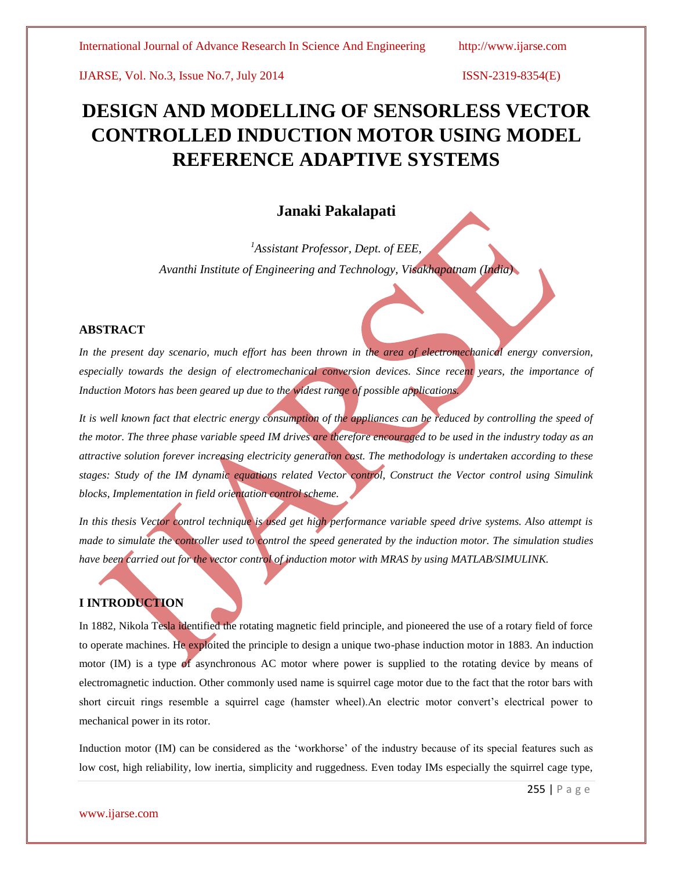IJARSE, Vol. No.3, Issue No.7, July 2014 ISSN-2319-8354(E)

# **DESIGN AND MODELLING OF SENSORLESS VECTOR CONTROLLED INDUCTION MOTOR USING MODEL REFERENCE ADAPTIVE SYSTEMS**

## **Janaki Pakalapati**

*<sup>1</sup>Assistant Professor, Dept. of EEE, Avanthi Institute of Engineering and Technology, Visakhapatnam (India)*

#### **ABSTRACT**

In the present day scenario, much effort has been thrown in the area of electromechanical energy conversion, *especially towards the design of electromechanical conversion devices. Since recent years, the importance of Induction Motors has been geared up due to the widest range of possible applications.*

It is well known fact that electric energy consumption of the appliances can be reduced by controlling the speed of *the motor. The three phase variable speed IM drives are therefore encouraged to be used in the industry today as an attractive solution forever increasing electricity generation cost. The methodology is undertaken according to these stages: Study of the IM dynamic equations related Vector control, Construct the Vector control using Simulink blocks, Implementation in field orientation control scheme.*

*In this thesis Vector control technique is used get high performance variable speed drive systems. Also attempt is made to simulate the controller used to control the speed generated by the induction motor. The simulation studies have been carried out for the vector control of induction motor with MRAS by using MATLAB/SIMULINK.*

### **I INTRODUCTION**

In 1882, Nikola Tesla identified the rotating magnetic field principle, and pioneered the use of a rotary field of force to operate machines. He exploited the principle to design a unique two-phase induction motor in 1883. An induction motor (IM) is a type of asynchronous AC motor where power is supplied to the rotating device by means of electromagnetic induction. Other commonly used name is squirrel cage motor due to the fact that the rotor bars with short circuit rings resemble a squirrel cage (hamster wheel).An electric motor convert"s electrical power to mechanical power in its rotor.

Induction motor (IM) can be considered as the "workhorse" of the industry because of its special features such as low cost, high reliability, low inertia, simplicity and ruggedness. Even today IMs especially the squirrel cage type,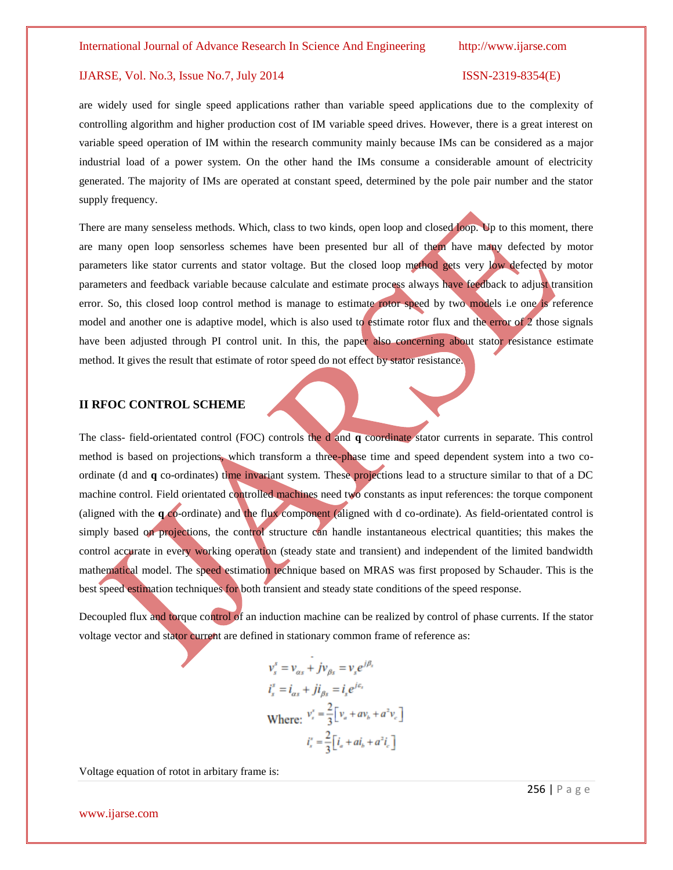#### International Journal of Advance Research In Science And Engineering http://www.ijarse.com

#### IJARSE, Vol. No.3, Issue No.7, July 2014 ISSN-2319-8354(E)

are widely used for single speed applications rather than variable speed applications due to the complexity of controlling algorithm and higher production cost of IM variable speed drives. However, there is a great interest on variable speed operation of IM within the research community mainly because IMs can be considered as a major industrial load of a power system. On the other hand the IMs consume a considerable amount of electricity generated. The majority of IMs are operated at constant speed, determined by the pole pair number and the stator supply frequency.

There are many senseless methods. Which, class to two kinds, open loop and closed loop. Up to this moment, there are many open loop sensorless schemes have been presented bur all of them have many defected by motor parameters like stator currents and stator voltage. But the closed loop method gets very low defected by motor parameters and feedback variable because calculate and estimate process always have feedback to adjust transition error. So, this closed loop control method is manage to estimate rotor speed by two models i.e one is reference model and another one is adaptive model, which is also used to estimate rotor flux and the error of 2 those signals have been adjusted through PI control unit. In this, the paper also concerning about stator resistance estimate method. It gives the result that estimate of rotor speed do not effect by stator resistance.

#### **II RFOC CONTROL SCHEME**

The class- field-orientated control (FOC) controls the d and **q** coordinate stator currents in separate. This control method is based on projections, which transform a three-phase time and speed dependent system into a two coordinate (d and **q** co-ordinates) time invariant system. These projections lead to a structure similar to that of a DC machine control. Field orientated controlled machines need two constants as input references: the torque component (aligned with the **q** co-ordinate) and the flux component (aligned with d co-ordinate). As field-orientated control is simply based on projections, the control structure can handle instantaneous electrical quantities; this makes the control accurate in every working operation (steady state and transient) and independent of the limited bandwidth mathematical model. The speed estimation technique based on MRAS was first proposed by Schauder. This is the best speed estimation techniques for both transient and steady state conditions of the speed response.

Decoupled flux and torque control of an induction machine can be realized by control of phase currents. If the stator voltage vector and stator current are defined in stationary common frame of reference as:

$$
v_s^s = v_{as} + jv_{\beta s} = v_s e^{j\beta_s}
$$
  
\n
$$
i_s^s = i_{as} + ji_{\beta s} = i_s e^{j\epsilon_s}
$$
  
\nWhere: 
$$
v_s^s = \frac{2}{3} \Big[ v_a + av_b + a^2 v_c \Big]
$$
  
\n
$$
i_s^s = \frac{2}{3} \Big[ i_a + ai_b + a^2 i_c \Big]
$$

Voltage equation of rotot in arbitary frame is:

www.ijarse.com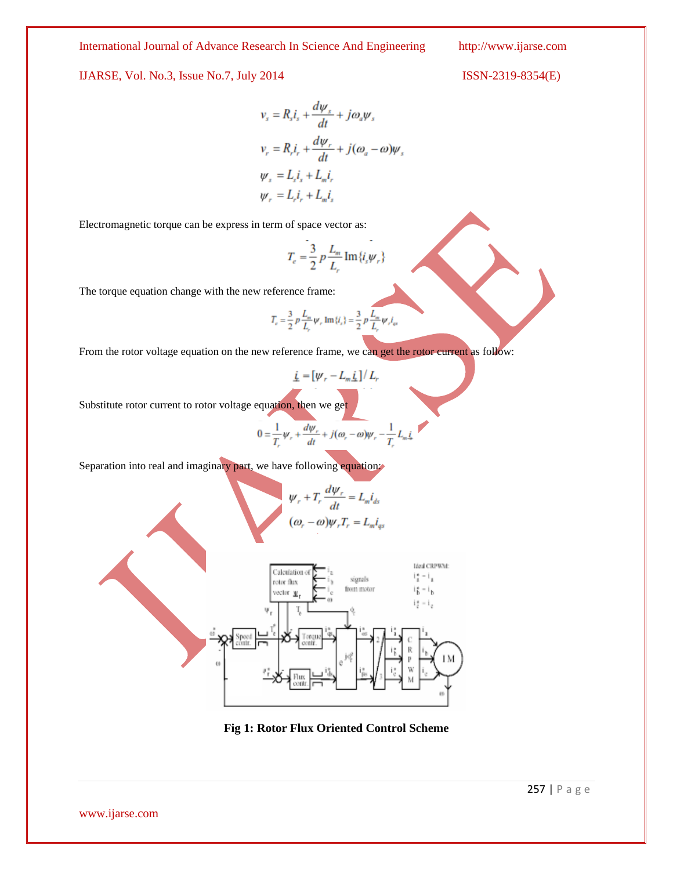International Journal of Advance Research In Science And Engineering http://www.ijarse.com

IJARSE, Vol. No.3, Issue No.7, July 2014 ISSN-2319-8354(E)

$$
v_s = R_s i_s + \frac{d\psi_s}{dt} + j\omega_a \psi_s
$$
  

$$
v_r = R_r i_r + \frac{d\psi_r}{dt} + j(\omega_a - \omega)\psi_s
$$
  

$$
\psi_s = L_s i_s + L_m i_r
$$
  

$$
\psi_r = L_r i_r + L_m i_s
$$

Electromagnetic torque can be express in term of space vector as:

$$
T_e=\frac{3}{2}\,p\,\frac{L_m}{L_r}\,\mathrm{Im}\,\{i_s\psi_r\}
$$

The torque equation change with the new reference frame:

$$
T_c = \frac{3}{2} p \frac{L_m}{L_r} \psi_r \operatorname{Im} \{i_s\} = \frac{3}{2} p \frac{L_m}{L_r} \psi_r i_q
$$

From the rotor voltage equation on the new reference frame, we can get the rotor current as follow:

$$
\underline{i} = [\psi_r - L_m \underline{i}] / L_r
$$

Substitute rotor current to rotor voltage equation, then we get

$$
0 = \frac{1}{T_r} \psi_r + \frac{d\psi_r}{dt} + j(\omega_r - \omega)\psi_r - \frac{1}{T_r} L_m \zeta
$$

Separation into real and imaginary part, we have following equation:

$$
\psi_r + T_r \frac{d\psi_r}{dt} = L_m i_{ds}
$$

$$
(\omega_r - \omega)\psi_r T_r = L_m i_{qs}
$$



**Fig 1: Rotor Flux Oriented Control Scheme**

www.ijarse.com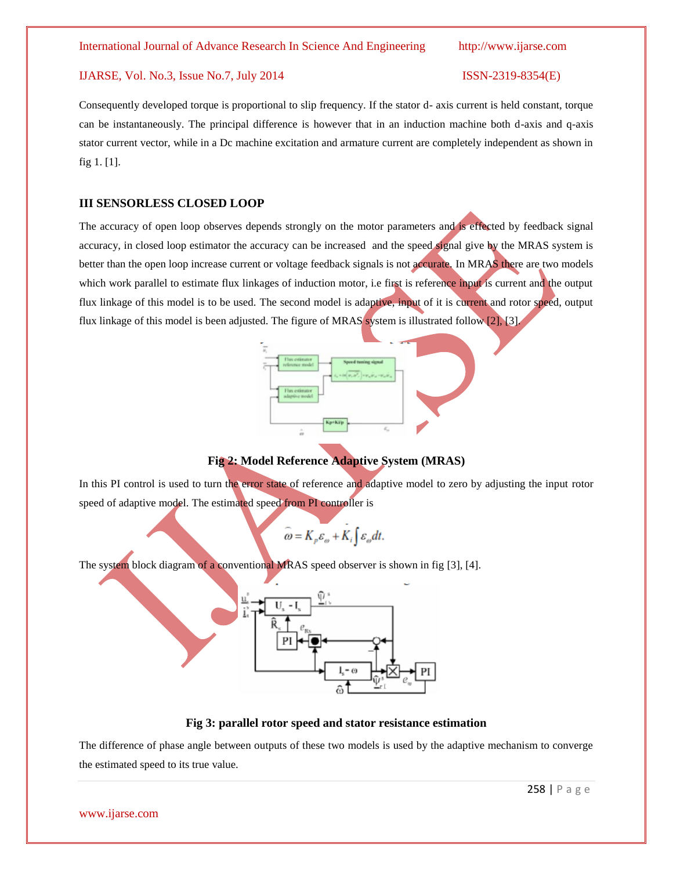#### IJARSE, Vol. No.3, Issue No.7, July 2014 ISSN-2319-8354(E)

Consequently developed torque is proportional to slip frequency. If the stator d- axis current is held constant, torque can be instantaneously. The principal difference is however that in an induction machine both d-axis and q-axis stator current vector, while in a Dc machine excitation and armature current are completely independent as shown in fig 1. [1].

#### **III SENSORLESS CLOSED LOOP**

The accuracy of open loop observes depends strongly on the motor parameters and is effected by feedback signal accuracy, in closed loop estimator the accuracy can be increased and the speed signal give by the MRAS system is better than the open loop increase current or voltage feedback signals is not accurate. In MRAS there are two models which work parallel to estimate flux linkages of induction motor, i.e first is reference input is current and the output flux linkage of this model is to be used. The second model is adaptive, input of it is current and rotor speed, output flux linkage of this model is been adjusted. The figure of MRAS system is illustrated follow [2], [3].



**Fig 2: Model Reference Adaptive System (MRAS)**

In this PI control is used to turn the error state of reference and adaptive model to zero by adjusting the input rotor speed of adaptive model. The estimated speed from PI controller is

$$
\stackrel{\frown}{\omega} = K_p \stackrel{\frown}{\varepsilon_\omega} + K_i \int \varepsilon_\omega dt.
$$

The system block diagram of a conventional MRAS speed observer is shown in fig [3], [4].



### **Fig 3: parallel rotor speed and stator resistance estimation**

The difference of phase angle between outputs of these two models is used by the adaptive mechanism to converge the estimated speed to its true value.

www.ijarse.com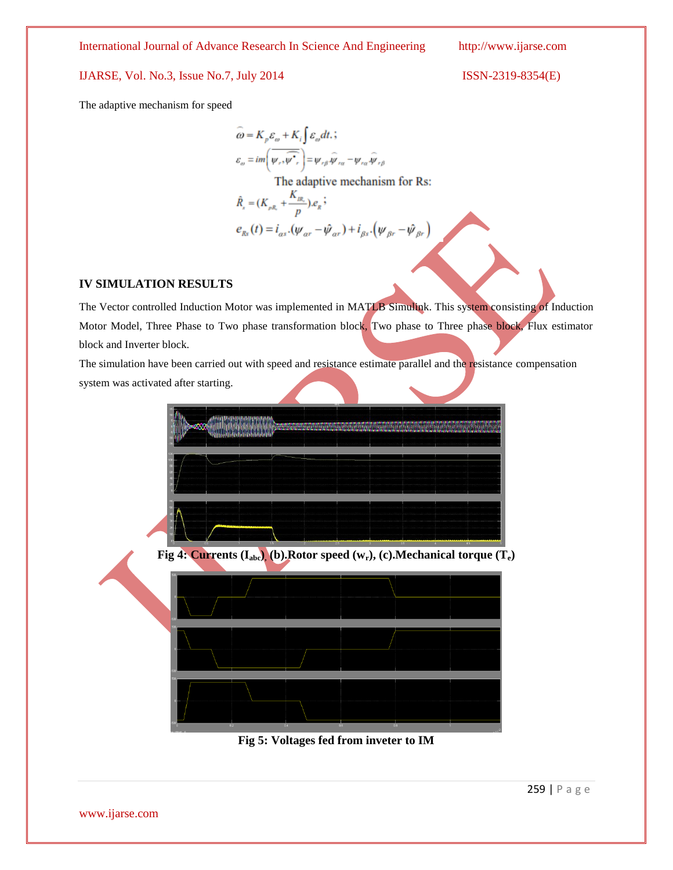International Journal of Advance Research In Science And Engineering http://www.ijarse.com

### IJARSE, Vol. No.3, Issue No.7, July 2014 ISSN-2319-8354(E)

The adaptive mechanism for speed

$$
\widehat{\omega} = K_p \varepsilon_{\omega} + K_i \int \varepsilon_{\omega} dt, \n\varepsilon_{\omega} = im \left( \overline{\psi_r, \overline{\psi_r}} \right) = \psi_{r\beta} \overline{\psi_{r\alpha}} - \psi_{r\alpha} \overline{\psi_{r\beta}} \n\text{The adaptive mechanism for Rs:} \n\hat{R}_s = (K_{pR_s} + \frac{K_{R_s}}{p}).e_s ; \n\mathbf{e}_{Rs}(t) = i_{as}.(\psi_{\alpha r} - \overline{\psi_{\alpha r}}) + i_{\beta s}.(\psi_{\beta r} - \overline{\psi_{\beta r}})
$$

### **IV SIMULATION RESULTS**

The Vector controlled Induction Motor was implemented in MATLB Simulink. This system consisting of Induction Motor Model, Three Phase to Two phase transformation block, Two phase to Three phase block, Flux estimator block and Inverter block.

The simulation have been carried out with speed and resistance estimate parallel and the resistance compensation system was activated after starting.



**Fig 5: Voltages fed from inveter to IM**